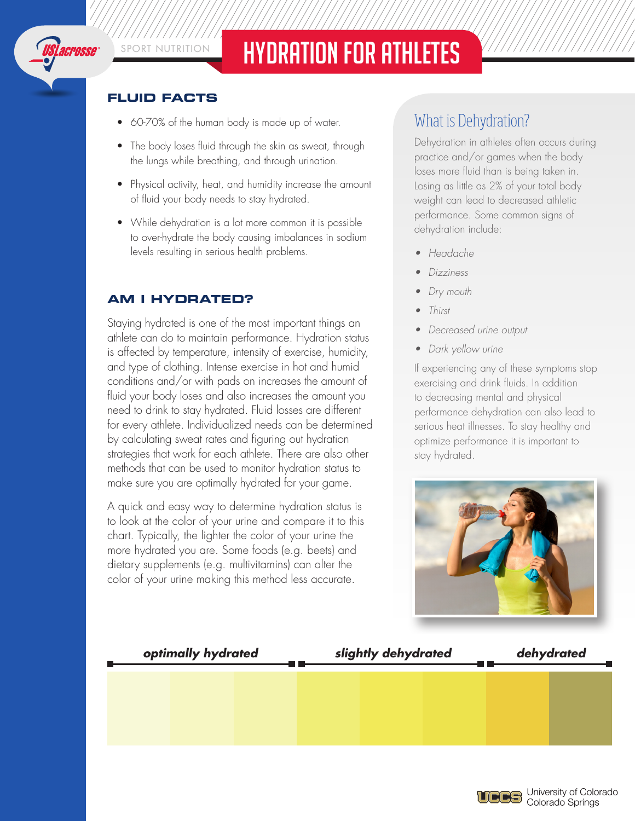

# SPORT NUTRITION HYDRATION FOR ATHLETES

### **FLUID FACTS**

- 60-70% of the human body is made up of water.
- The body loses fluid through the skin as sweat, through the lungs while breathing, and through urination.
- Physical activity, heat, and humidity increase the amount of fluid your body needs to stay hydrated.
- While dehydration is a lot more common it is possible to over-hydrate the body causing imbalances in sodium levels resulting in serious health problems.

## **AM I HYDRATED?**

Staying hydrated is one of the most important things an athlete can do to maintain performance. Hydration status is affected by temperature, intensity of exercise, humidity, and type of clothing. Intense exercise in hot and humid conditions and/or with pads on increases the amount of fluid your body loses and also increases the amount you need to drink to stay hydrated. Fluid losses are different for every athlete. Individualized needs can be determined by calculating sweat rates and figuring out hydration strategies that work for each athlete. There are also other methods that can be used to monitor hydration status to make sure you are optimally hydrated for your game.

A quick and easy way to determine hydration status is to look at the color of your urine and compare it to this chart. Typically, the lighter the color of your urine the more hydrated you are. Some foods (e.g. beets) and dietary supplements (e.g. multivitamins) can alter the color of your urine making this method less accurate.

## What is Dehydration?

Dehydration in athletes often occurs during practice and/or games when the body loses more fluid than is being taken in. Losing as little as 2% of your total body weight can lead to decreased athletic performance. Some common signs of dehydration include:

- • Headache
- **Dizziness**
- Dry mouth
- **Thirst**
- Decreased urine output
- Dark yellow urine

If experiencing any of these symptoms stop exercising and drink fluids. In addition to decreasing mental and physical performance dehydration can also lead to serious heat illnesses. To stay healthy and optimize performance it is important to stay hydrated.